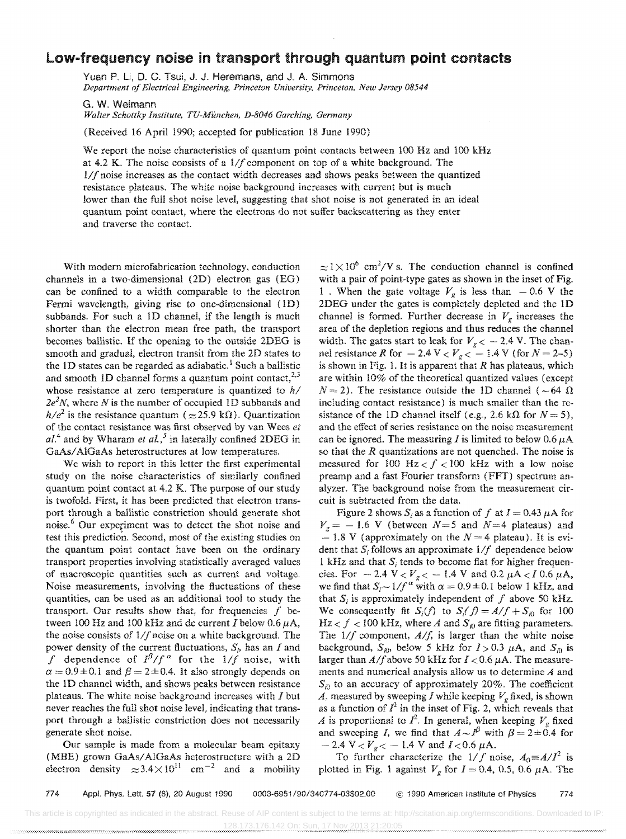## **Low-frequency noise in transport through quantum pOint contacts**

Yuan P, Li, D, C, Tsui, J, J, Heremans, and J, A, Simmons *Department of Electrical Engineering, Princeton University, Princeton, New Jersey 08544* 

G. W. Weimann *Walter Schottky Institute, TU-Munchen, D-8046 Garching, Germany* 

(Received 16 April 1990; accepted for publication 18 June 1990)

We report the noise characteristics of quantum point contacts between 100 Hz and 100 kHz at 4.2 K. The noise consists of a *111* component on top of a white background. The  $1/f$  noise increases as the contact width decreases and shows peaks between the quantized resistance plateaus. The white noise background increases with current but is much lower than the full shot noise level, suggesting that shot noise is not generated in an ideal quantum point oontact, where the electrons do not suffer backscattering as they enter and traverse the contact.

With modern microfabrication technology, conduction channels in a two-dimensional (2D) electron gas (EO) can be confined to a width comparable to the electron Fermi wavelength, giving rise to one-dimensional (1D) subbands. For such a ID channel, if the length is much shorter than the electron mean free path, the transport becomes ballistic. If the opening to the outside 2DEG is smooth and gradual, electron transit from the 2D states to the 1D states can be regarded as adiabatic.<sup>1</sup> Such a ballistic and smooth 1D channel forms a quantum point contact,  $2^{2,3}$ whose resistance at zero temperature is quantized to  $h/$ *2e<sup>2</sup> N,* where *N* is the number of occupied ID subbands and  $h/e^2$  is the resistance quantum ( $\approx$ 25.9 k $\Omega$ ). Quantization of the contact resistance was first observed by van Wees *et*   $aL<sup>4</sup>$  and by Wharam *et al.*,<sup>5</sup> in laterally confined 2DEG in *GaAsl* AIGaAs heterostructures at low temperatures.

We wish to report in this letter the first experimental study on the noise characteristics of similarly confined quantum point contact at  $4.2$  K. The purpose of our study is twofold. First, it has been predicted that electron transport through a ballistic constriction should generate shot noise.<sup>6</sup> Our experiment was to detect the shot noise and test this prediction. Second, most of the existing studies on the quantum point contact have been on the ordinary transport properties involving statistically averaged values of macroscopic quantities such as current and voltage. Noise measurements, involving the fluctuations of these quantities, can be used as an additional tool to study the transport. Our results show that, for frequencies  $f$  between 100 Hz and 100 kHz and dc current I below 0.6  $\mu$ A, the noise consists of  $1/f$  noise on a white background. The power density of the current fluctuations,  $S_p$  has an *I* and f dependence of  $I^{\beta}/f^{\alpha}$  for the  $1/f$  noise, with  $\alpha = 0.9 \pm 0.1$  and  $\beta = 2 \pm 0.4$ . It also strongly depends on the ID channel width, and shows peaks between resistance plateaus. The white noise background increases with I but never reaches the full shot noise level, indicating that transport through a ballistic constriction does not necessarily generate shot noise.

Our sample is made from a molecular beam epitaxy (MBE) grown GaAs/AlGaAs heterostructure with a 2D electron density  $\approx 3.4 \times 10^{11}$  cm<sup>-2</sup> and a mobility  $\approx 1 \times 10^6$  cm<sup>2</sup>/V s. The conduction channel is confined with a pair of point-type gates as shown in the inset of Fig. 1 . When the gate voltage  $V_g$  is less than  $-0.6$  V the 2DEG under the gates is completely depleted and the ID channel is formed. Further decrease in  $V_g$  increases the area of the depletion regions and thus reduces the channel width. The gates start to leak for  $V_g < -2.4$  V. The channel resistance *R* for  $-2.4 \text{ V} < V_g < -1.4 \text{ V}$  (for  $N = 2-5$ ) is shown in Fig. 1. It is apparent that *R* has plateaus, which are within 10% of the theoretical quantized values (except  $N = 2$ ). The resistance outside the ID channel ( $\sim 64 \Omega$ ) including contact resistance) is much smaller than the resistance of the 1D channel itself (e.g., 2.6 k $\Omega$  for  $N = 5$ ), and the effect of series resistance on the noise measurement can be ignored. The measuring I is limited to below  $0.6 \mu A$ so that the *R* quantizations are not quenched. The noise is measured for 100 Hz  $f$  < 100 kHz with a low noise preamp and a fast Fourier transform (FFT) spectrum analyzer. The background noise from the measurement circuit is subtracted from the data.

Figure 2 shows  $S_i$  as a function of f at  $I = 0.43 \mu A$  for  $V<sub>g</sub> = -1.6$  V (between *N*=5 and *N*=4 plateaus) and  $-1.8$  V (approximately on the  $N = 4$  plateau). It is evident that  $S_i$  follows an approximate  $1/f$  dependence below 1 kHz and that  $S_i$  tends to become flat for higher frequencies. For  $-2.4 \text{ V} < V_g < -1.4 \text{ V}$  and 0.2  $\mu$ A  $< I$  0.6  $\mu$ A, we find that  $S_i \sim 1/f^\alpha$  with  $\alpha = 0.9 \pm 0.1$  below 1 kHz, and that  $S_i$  is approximately independent of f above 50 kHz. We consequently fit  $S_i(f)$  to  $S_i(f) = A/f + S_{i0}$  for 100  $Hz < f < 100$  kHz, where *A* and  $S_{\phi}$  are fitting parameters. The  $1/f$  component,  $A/f$ , is larger than the white noise background,  $S_{iD}$ , below 5 kHz for  $I > 0.3$   $\mu$ A, and  $S_{iD}$  is larger than  $A/f$  above 50 kHz for  $I < 0.6 \mu\text{A}$ . The measurements and numerical analysis allow us to determine A and  $S_{i0}$  to an accuracy of approximately 20%. The coefficient *A*, measured by sweeping *I* while keeping  $V_g$  fixed, is shown as a function of  $I^2$  in the inset of Fig. 2, which reveals that *A* is proportional to  $I^2$ . In general, when keeping  $V_g$  fixed and sweeping *I*, we find that  $A \sim I^{\beta}$  with  $\beta = 2 \pm 0.4$  for  $- 2.4 \text{ V} < V_g < -1.4 \text{ V}$  and  $I < 0.6 \mu\text{A}$ .

To further characterize the  $1/f$  noise,  $A_0 = A/I^2$  is plotted in Fig. 1 against  $V_g$  for  $I = 0.4$ , 0.5, 0.6  $\mu$ A. The

774 Appl. Phys. Lett. 57 (8), 20 August 1990 0003-6951/90/340774-03\$02.00 @ 1990 American Institute of Physics 774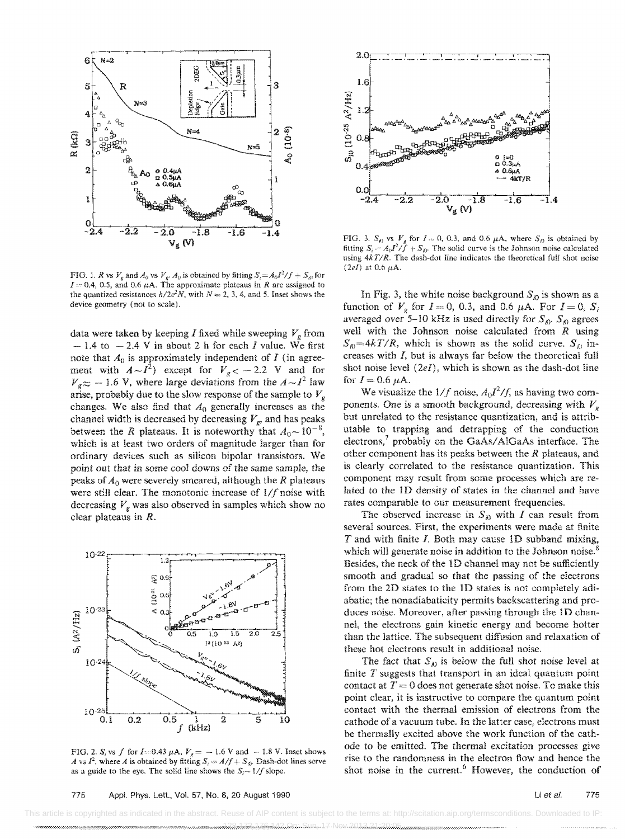

FIG. 1. *R* vs  $V_g$  and  $A_0$  vs  $V_g$ .  $A_0$  is obtained by fitting  $S_i = A_0I^2/f + S_{i0}$  for  $I = 0.4$ , 0.5, and 0.6  $\mu$ A. The approximate plateaus in R are assigned to the quantized resistances  $h/2e^2N$ , with  $N = 2, 3, 4$ , and 5. Inset shows the device geometry (not to scale).

data were taken by keeping *I* fixed while sweeping  $V_g$  from  $-1.4$  to  $-2.4$  V in about 2 h for each I value. We first note that  $A_0$  is approximately independent of  $I$  (in agreement with  $A \sim I^2$ ) except for  $V_g < -2.2$  V and for  $V_{\varrho} \approx -1.6$  V, where large deviations from the  $A \sim l^2$  law arise, probably due to the slow response of the sample to *Vg*  changes. We also find that *Ao* generally increases as the channel width is decreased by decreasing  $V_g$ , and has peaks between the *R* plateaus. It is noteworthy that  $A_0 \sim 10^{-8}$ , which is at least two orders of magnitude larger than for ordinary devices such as silicon bipolar transistors. We point out that in some cool downs of the same sample, the peaks of *Ao* were severely smeared, although the *R* plateaus were still clear. The monotonic increase of  $1/f$  noise with decreasing  $V_g$  was also observed in samples which show no clear plateaus in *R.* 



FIG. 2.  $S_i$  vs f for I $\approx 0.43 \mu$ A,  $V_g = -1.6 \text{ V}$  and  $\sim 1.8 \text{ V}$ . Inset shows *A* vs  $I^2$ , where *A* is obtained by fitting  $S_i = A/f + S_{i0}$ . Dash-dot lines serve as a guide to the eye. The solid line shows the  $S_i \sim 1/f$  slope.



FIG. 3.  $S_{\phi}$  vs  $V_g$  for  $I = 0, 0.3$ , and 0.6  $\mu$ A, where  $S_{\phi}$  is obtained by fitting  $S_i = A_0 I^2 / \hat{f} + S_{i0}$ . The solid curve is the Johnson noise calculated using  $4kT/R$ . The dash-dot line indicates the theoretical full shot noise (2eI) at 0.6  $\mu$ A.

In Fig. 3, the white noise background  $S_{\phi}$  is shown as a function of  $V_g$  for  $I = 0$ , 0.3, and 0.6  $\mu$ A. For  $I = 0$ ,  $S_i$ averaged over 5-10 kHz is used directly for  $S_{\kappa}$ .  $S_{\kappa}$  agrees well with the Johnson noise calculated from  $R$  using  $S_{\phi} = 4kT/R$ , which is shown as the solid curve.  $S_{\phi}$  increases with J, but is always far below the theoretical full shot noise level *(2el),* which is shown as the dash-dot line for  $I = 0.6 \mu A$ .

We visualize the  $1/f$  noise,  $A_0I^2/f$ , as having two components. One is a smooth background, decreasing with  $V_g$ but unrelated to the resistance quantization, and is attributable to trapping and detrapping of the conduction electrons,<sup>7</sup> probably on the GaAs/AlGaAs interface. The other component has its peaks between the *R* plateaus, and is clearly correlated to the resistance quantization. This component may result from some processes which are related to the 1D density of states in the channel and have rates comparable to our measurement frequencies.

The observed increase in  $S_{\hat{\theta}}$  with *I* can result from several sources. First, the experiments were made at finite *T* and with finite *I.* Both may cause ID subband mixing, which will generate noise in addition to the Johnson noise.<sup>8</sup> Besides, the neck of the 1D channel may not be sufficiently smooth and gradual so that the passing of the electrons from the 2D states to the 1D states is not completely adiabatic; the nonadiabaticity permits backscattering and produces noise. Moreover, after passing through the 1D channel, the electrons gain kinetic energy and become hotter than the lattice. The subsequent diffusion and relaxation of these hot electrons result in additional noise.

The fact that  $S_{\theta}$  is below the full shot noise level at finite T suggests that transport in an ideal quantum point contact at  $T = 0$  does not generate shot noise. To make this point clear, it is instructive to compare the quantum point contact with the thermal emission of electrons from the cathode of a vacuum tube. In the latter case, electrons must be thermally excited above the work function of the cathode to be emitted. The thermal excitation processes give rise to the randomness in the electron flow and hence the shot noise in the current. $6$  However, the conduction of

 This article is copyrighted as indicated in the abstract. Reuse of AIP content is subject to the terms at: http://scitation.aip.org/termsconditions. Downloaded to IP: 128.189.188.189.188.188.188.188.188.198.17.1.1.1.1.199.1.20.1.18.18.18.18.18.18.18